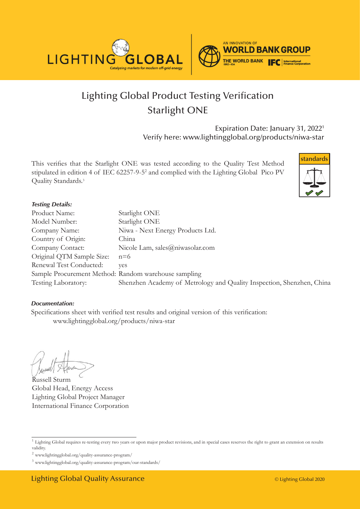

# Lighting Global Product Testing Verification Starlight ONE

Expiration Date: January 31, 20221 Verify here: www.lightingglobal.org/products/niwa-star

This verifies that the Starlight ONE was tested according to the Quality Test Method stipulated in edition 4 of IEC 62257-9-5<sup>2</sup> and complied with the Lighting Global Pico PV Quality Standards.<sup>3</sup>



#### *Testing Details:*

| Product Name:                                        | Starlight ONE                                                         |
|------------------------------------------------------|-----------------------------------------------------------------------|
| Model Number:                                        | Starlight ONE                                                         |
| Company Name:                                        | Niwa - Next Energy Products Ltd.                                      |
| Country of Origin:                                   | China                                                                 |
| Company Contact:                                     | Nicole Lam, sales@niwasolar.com                                       |
| Original QTM Sample Size:                            | $n=6$                                                                 |
| Renewal Test Conducted:                              | ves                                                                   |
| Sample Procurement Method: Random warehouse sampling |                                                                       |
| Testing Laboratory:                                  | Shenzhen Academy of Metrology and Quality Inspection, Shenzhen, China |

#### *Documentation:*

Specifications sheet with verified test results and original version of this verification: www.lightingglobal.org/products/niwa-star

Russell Sturm Global Head, Energy Access Lighting Global Project Manager International Finance Corporation

<sup>&</sup>lt;sup>1</sup> Lighting Global requires re-testing every two years or upon major product revisions, and in special cases reserves the right to grant an extension on results validity.

 $^2$ www.lightingglobal.org/quality-assurance-program/  $\,$ 

<sup>3</sup> www.lightingglobal.org/quality-assurance-program/our-standards/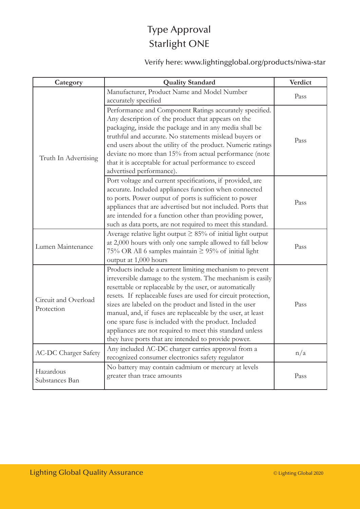### Type Approval Starlight ONE

Verify here: www.lightingglobal.org/products/niwa-star

| Category                           | <b>Quality Standard</b>                                                                                                                                                                                                                                                                                                                                                                                                                                                                                                                                  | Verdict |
|------------------------------------|----------------------------------------------------------------------------------------------------------------------------------------------------------------------------------------------------------------------------------------------------------------------------------------------------------------------------------------------------------------------------------------------------------------------------------------------------------------------------------------------------------------------------------------------------------|---------|
| Truth In Advertising               | Manufacturer, Product Name and Model Number<br>accurately specified                                                                                                                                                                                                                                                                                                                                                                                                                                                                                      | Pass    |
|                                    | Performance and Component Ratings accurately specified.<br>Any description of the product that appears on the<br>packaging, inside the package and in any media shall be<br>truthful and accurate. No statements mislead buyers or<br>end users about the utility of the product. Numeric ratings<br>deviate no more than 15% from actual performance (note<br>that it is acceptable for actual performance to exceed<br>advertised performance).                                                                                                        | Pass    |
|                                    | Port voltage and current specifications, if provided, are<br>accurate. Included appliances function when connected<br>to ports. Power output of ports is sufficient to power<br>appliances that are advertised but not included. Ports that<br>are intended for a function other than providing power,<br>such as data ports, are not required to meet this standard.                                                                                                                                                                                    | Pass    |
| Lumen Maintenance                  | Average relative light output $\geq$ 85% of initial light output<br>at 2,000 hours with only one sample allowed to fall below<br>75% OR All 6 samples maintain $\geq$ 95% of initial light<br>output at 1,000 hours                                                                                                                                                                                                                                                                                                                                      | Pass    |
| Circuit and Overload<br>Protection | Products include a current limiting mechanism to prevent<br>irreversible damage to the system. The mechanism is easily<br>resettable or replaceable by the user, or automatically<br>resets. If replaceable fuses are used for circuit protection,<br>sizes are labeled on the product and listed in the user<br>manual, and, if fuses are replaceable by the user, at least<br>one spare fuse is included with the product. Included<br>appliances are not required to meet this standard unless<br>they have ports that are intended to provide power. | Pass    |
| <b>AC-DC Charger Safety</b>        | Any included AC-DC charger carries approval from a<br>recognized consumer electronics safety regulator                                                                                                                                                                                                                                                                                                                                                                                                                                                   | n/a     |
| Hazardous<br>Substances Ban        | No battery may contain cadmium or mercury at levels<br>greater than trace amounts                                                                                                                                                                                                                                                                                                                                                                                                                                                                        | Pass    |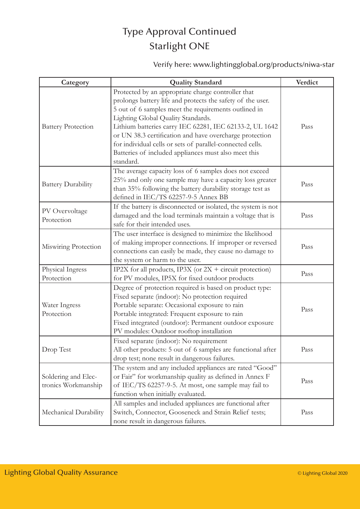### Type Approval Continued Starlight ONE

Verify here: www.lightingglobal.org/products/niwa-star

| Category                                   | <b>Quality Standard</b>                                                                                                                                                                                                                                                                                                                                                                                                                                                | Verdict |
|--------------------------------------------|------------------------------------------------------------------------------------------------------------------------------------------------------------------------------------------------------------------------------------------------------------------------------------------------------------------------------------------------------------------------------------------------------------------------------------------------------------------------|---------|
| <b>Battery Protection</b>                  | Protected by an appropriate charge controller that<br>prolongs battery life and protects the safety of the user.<br>5 out of 6 samples meet the requirements outlined in<br>Lighting Global Quality Standards.<br>Lithium batteries carry IEC 62281, IEC 62133-2, UL 1642<br>or UN 38.3 certification and have overcharge protection<br>for individual cells or sets of parallel-connected cells.<br>Batteries of included appliances must also meet this<br>standard. | Pass    |
| <b>Battery Durability</b>                  | The average capacity loss of 6 samples does not exceed<br>25% and only one sample may have a capacity loss greater<br>than 35% following the battery durability storage test as<br>defined in IEC/TS 62257-9-5 Annex BB                                                                                                                                                                                                                                                | Pass    |
| PV Overvoltage<br>Protection               | If the battery is disconnected or isolated, the system is not<br>damaged and the load terminals maintain a voltage that is<br>safe for their intended uses.                                                                                                                                                                                                                                                                                                            | Pass    |
| Miswiring Protection                       | The user interface is designed to minimize the likelihood<br>of making improper connections. If improper or reversed<br>connections can easily be made, they cause no damage to<br>the system or harm to the user.                                                                                                                                                                                                                                                     | Pass    |
| Physical Ingress<br>Protection             | IP2X for all products, IP3X (or $2X +$ circuit protection)<br>for PV modules, IP5X for fixed outdoor products                                                                                                                                                                                                                                                                                                                                                          | Pass    |
| Water Ingress<br>Protection                | Degree of protection required is based on product type:<br>Fixed separate (indoor): No protection required<br>Portable separate: Occasional exposure to rain<br>Portable integrated: Frequent exposure to rain<br>Fixed integrated (outdoor): Permanent outdoor exposure<br>PV modules: Outdoor rooftop installation                                                                                                                                                   | Pass    |
| Drop Test                                  | Fixed separate (indoor): No requirement<br>All other products: 5 out of 6 samples are functional after<br>drop test; none result in dangerous failures.                                                                                                                                                                                                                                                                                                                | Pass    |
| Soldering and Elec-<br>tronics Workmanship | The system and any included appliances are rated "Good"<br>or Fair" for workmanship quality as defined in Annex F<br>of IEC/TS 62257-9-5. At most, one sample may fail to<br>function when initially evaluated.                                                                                                                                                                                                                                                        | Pass    |
| Mechanical Durability                      | All samples and included appliances are functional after<br>Switch, Connector, Gooseneck and Strain Relief tests;<br>none result in dangerous failures.                                                                                                                                                                                                                                                                                                                | Pass    |